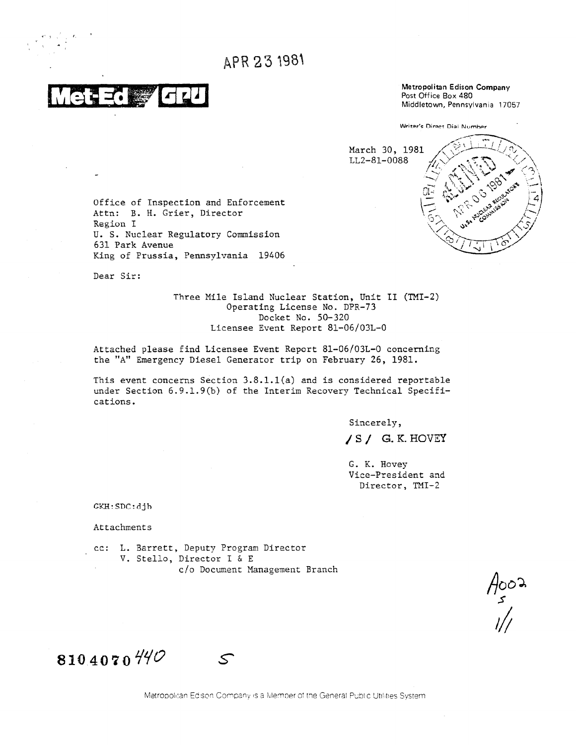APR 23 1981

Metropolitan Edison Company Post Office Box 480 Middletown, Pennsylvania 17057

Writer's Direct Dial Number March 30, 1981 LL2-81-0088

Office of Inspection and Enforcement Attn: B. H. Grier, Director Region I U. S. Nuclear Regulatory Commission 631 Park Avenue King of Prussia, Pennsylvania 19406

Dear Sir:

Three Mile Island Nuclear Station, Unit II (TMI-2) Operating License No. DPR-73 Docket No. 50-320 Licensee Event Report 81-06/03L-0

Attached please find Licensee Event Report 81-06/03L-0 concerning the "A" Emergency Diesel Generator trip on February 26, 1981.

This event concerns Section 3.8.1.1(a) and is considered reportable under Section 6.9.1.9(b) of the Interim Recovery Technical Specifications.

Sincerely,

/S/ G.K. HOVEY

G. K. Hovey Vice-President and Director, TMI-2

 $GKH:SDC:djh$ 

Attachments

cc: L. Barrett, Deputy Program Director V. Stello, Director I & E c/o Document Management Branch

 $\frac{4002}{5}$ 

 $810.4070$  440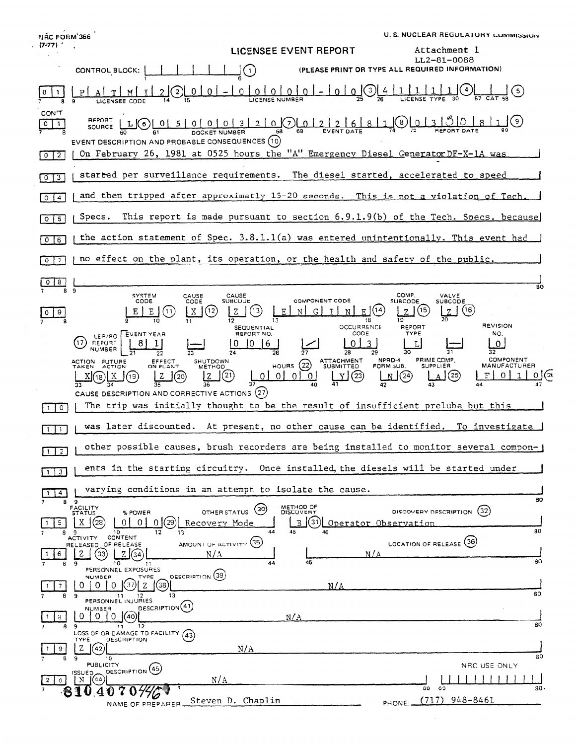**U. S. NUCLEAR REGULATORY COMMISSION** NRC FORM 366  $(7.77)$ Attachment 1 LICENSEE EVENT REPORT LL2-81-0088 CONTROL BLOCK: |  $\mathsf{J}(\mathsf{1})$ (PLEASE PRINT OR TYPE ALL REQUIRED INFORMATION)  $\frac{1}{25}$  $\begin{smallmatrix} 0 & 0 & 0 & 0 & 0 & 0 & 0 \end{smallmatrix}$  $\left[ 2\right]$  $0$  |  $0$  |  $\Omega$ 4 (5)  $\mathbf 0$  $T$ <u>0 l</u>  $M$ **LICENSEE CODE** CON'T REPORT ి౹౦ عاك  $00003$ <u>o K</u>) Lo I  $2<sup>1</sup>$  $\overline{2}$  $0$   $1$ <u>LJOJ</u>  $\circ$  (  $5<sup>1</sup>$  $\overline{2}$  $6 \overline{6}$ SOURCE 78  $69$ DOCKET NUMBER  $61$ EVENT DESCRIPTION AND PROBABLE CONSEQUENCES (10) On February 26, 1981 at 0525 hours the "A" Emergency Diesel Generator DF-X-1A was  $\sqrt{0}$ started per surveillance requirements. The diesel started, accelerated to speed  $\sqrt{0}$  $\sqrt{3}$ and then tripped after approximatly 15-20 seconds. This is not a violation of Tech  $\sqrt{0}$   $\sqrt{4}$ This report is made pursuant to section 6.9.1.9(b) of the Tech. Specs. Specs. because  $0 \mid 5$ the action statement of Spec. 3.8.1.1(a) was entered unintentionally. This event had  $\sqrt{0}$ no effect on the plant, its operation, or the health and safety of the public  $\sqrt{0}$   $\sqrt{7}$  $0 8$  $\overline{8}0$ ā ្ភ COMP.<br>SUBCODE SYSTEM<br>CODE CAUSE<br>CODE CAUSE<br>SUBCODE VALVE<br>SUBCODE COMPONENT CODE  $\mid$  X  $\mid$  (12)  $Z(3)$  $E(14)$  $2(5)$  $Z(6)$  $E$   $E$   $(1)$ G  $\overline{1}$  $\mathbf E$ N  $\mathbb N$  )  $|0|9|$ 帀  $\overline{13}$  $\overline{18}$  $\overline{\mathbf{1}}$ **REVISION OCCURRENCE** SEQUENTIAL REPORT<br>TYPE CODE EVENTYEAR REPORT NO. NO. LEB/RO  $(17)$  $8|1|$  $\overline{0}$  $\Omega$ REPORT |0 |0 |6  $\mathbf{3}$  $\mathbf{L}$ سيسا **NUMBER**  $\overline{24}$  $\overline{27}$  $\overline{28}$ का ন  $\overline{37}$ 29 HOURS 22 ATTACHMENT NPRD-4<br>FORM SUB. PRIME COMP.<br>SUPPLIER COMPONENT EFFECT<br>ON PLANT SHUTDOWN<br>METHOD ACTION FUTURE MANUFACTURER  $\underline{Y}$  (23)  $\mathbb{N}$  (24)  $\mathbf{J}^{(2)}$  $\int (25)$  $F|O|$  $X(3)X$ l z [Z  $\circ$  $0101$  $1$ <u>०।(ऋ</u> (19)  $\mathbf{J}^{(20)}$  $\overline{0}$  $\overline{33}$ বর  $\overline{36}$ דר  $40$ CAUSE DESCRIPTION AND CORRECTIVE ACTIONS (27) The trip was initially thought to be the result of insufficient prelube but this  $\Box$ was later discounted. At present, no other cause can be identified. To investigate  $\boxed{1}$   $\boxed{1}$ other possible causes, brush recorders are being installed to monitor several compon- $1\sqrt{2}$ ents in the starting circuitry. Once installed, the diesels will be started under  $1 \mid 3 \mid$ varying conditions in an attempt to isolate the cause.  $1 \mid 4$ 80  $\overline{9}$ 8 FACILITY<br>STATUS METHOD OF<br>DISCOVERY OTHER STATUS (30) DISCOVERY DESCRIPTION (32) % POWER  $\boxed{5}$  $X(28)$  $\begin{bmatrix} 0 & 0 & 0 \end{bmatrix}$ Recovery Mode B (31) Operator Observat  $\vert$  1  $\frac{9}{2}$   $\frac{10}{10}$ 12  $\overline{1}$  $\overline{A}$  $\frac{1}{45}$ 80 LOCATION OF RELEASE (36) AMOUNT OF ACTIVITY (35) RELEASED OF RELEASE  $\frac{1}{2}(34)$ <u>z</u> ③ l  $6 \mid$  $\mathbf{1}$ N/A  $N / \sqrt{2}$ 80  $\overline{45}$  $\overline{a}$ 10 11<br>PERSONNEL EXPOSURES 44 DESCRIPTION (39) TYPE NUMBER.  $(37) 2 38$  $0 1 0 0$  $\overline{7}$  $N/A$  $\mathbf{1}$ 80  $\overline{\mathbf{1}}$  $\overline{12}$ ٩ PERSONNEL INJURIES DESCRIPTION (41) NUMBER  $0 | 0 | (40)$  $\overline{O}$  $\overline{8}$  $N/A$ 80  $\overline{9}$  $\overline{\mathbf{11}}$  $\overline{12}$ LOSS OF OR DAMAGE TO FACILITY (43) **TYPE** DESCRIPTION  $\mathbf{z}$  $9<sub>1</sub>$  $(42)$  $N/A$  $\overline{50}$  $\overline{10}$ **PUBLICITY** NRC USE ONLY DESCRIPTION (45)  $\begin{bmatrix} 1 \text{S} \cup \text{ED} \\ \text{N} \end{bmatrix}$  $N/A$  $2|0|$  $\overline{5}$  $\overline{30}$ 70446  $\overline{a}a$ 81040  $(717)$  948-8461 Steven D. Chaplin PHONE: NAME OF PREPARER.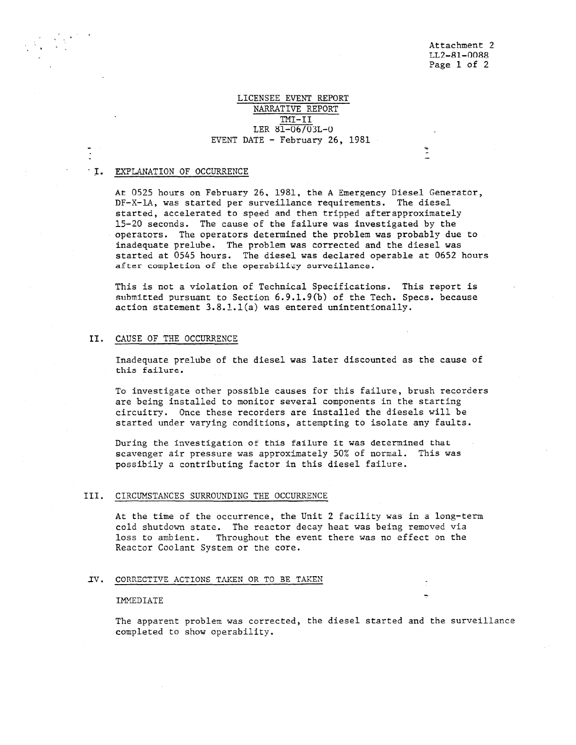## LICENSEE EVENT REPORT NARRATIVE REPORT TMI-II LER 81-06/03L-0 EVENT DATE - February 26, 1981

# T. EXPLANATION OF OCCURRENCE

At 0525 hours on February 26, 1981, the A Emergency Diesel Generator, DF-X-1A, was started per surveillance requirements. The diesel started, accelerated to speed and then tripped afterapproximately 15-20 seconds. The cause of the failure was investigated by the operators. The operators determined the problem was probably due to inadequate prelube. The problem was corrected and the diesel was started at 0545 hours. The diesel was declared operable at 0652 hours after completion of the operabilicy surveillance.

This is not a violation of Technical Specifications. This report is submitted pursuant to Section 6.9.1.9(b) of the Tech. Specs. because action statement 3.8.1.1(a) was entered unintentionally.

### II. CAUSE OF THE OCCURRENCE

Inadequate prelube of the diesel was later discounted as the cause of this failure.

To investigate other possible causes for this failure, brush recorders are being installed to monitor several components in the starting circuitry. Once these recorders are installed the diesels will be started under varying conditions, attempting to isolate any faults.

During the investigation of this failure it was determined that scavenger air pressure was approximately 50% of normal. This was possibily a contributing factor in this diesel failure.

#### III. CIRCUMSTANCES SURROUNDING THE OCCURRENCE

At the time of the occurrence, the Unit 2 facility was in a long-term cold shutdown state. The reactor decay heat was being removed via loss to ambient. Throughout the event there was no effect on the Reactor Coolant System or the core.

### IV. CORRECTIVE ACTIONS TAKEN OR TO BE TAKEN \_

#### IMMEDIATE

The apparent problem was corrected, the diesel started and the surveillance completed to show operability.

-